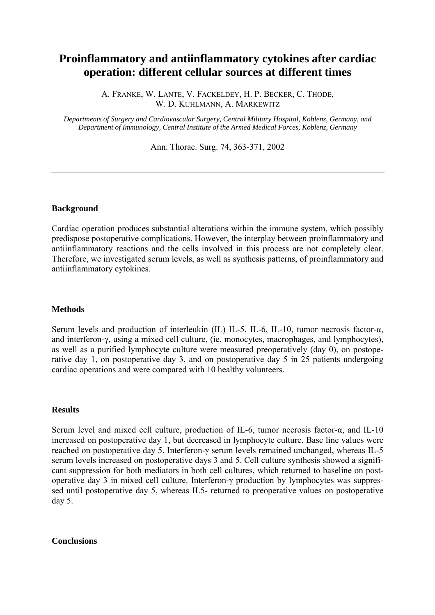# **Proinflammatory and antiinflammatory cytokines after cardiac operation: different cellular sources at different times**

A. FRANKE, W. LANTE, V. FACKELDEY, H. P. BECKER, C. THODE, W. D. KUHLMANN, A. MARKEWITZ

*Departments of Surgery and Cardiovascular Surgery, Central Military Hospital, Koblenz, Germany, and Department of Immunology, Central Institute of the Armed Medical Forces, Koblenz, Germany* 

Ann. Thorac. Surg. 74, 363-371, 2002

### **Background**

Cardiac operation produces substantial alterations within the immune system, which possibly predispose postoperative complications. However, the interplay between proinflammatory and antiinflammatory reactions and the cells involved in this process are not completely clear. Therefore, we investigated serum levels, as well as synthesis patterns, of proinflammatory and antiinflammatory cytokines.

# **Methods**

Serum levels and production of interleukin (IL) IL-5, IL-6, IL-10, tumor necrosis factor-α, and interferon-γ, using a mixed cell culture, (ie, monocytes, macrophages, and lymphocytes), as well as a purified lymphocyte culture were measured preoperatively (day 0), on postoperative day 1, on postoperative day 3, and on postoperative day 5 in 25 patients undergoing cardiac operations and were compared with 10 healthy volunteers.

#### **Results**

Serum level and mixed cell culture, production of IL-6, tumor necrosis factor- $\alpha$ , and IL-10 increased on postoperative day 1, but decreased in lymphocyte culture. Base line values were reached on postoperative day 5. Interferon-γ serum levels remained unchanged, whereas IL-5 serum levels increased on postoperative days 3 and 5. Cell culture synthesis showed a significant suppression for both mediators in both cell cultures, which returned to baseline on postoperative day 3 in mixed cell culture. Interferon-γ production by lymphocytes was suppressed until postoperative day 5, whereas IL5- returned to preoperative values on postoperative day 5.

## **Conclusions**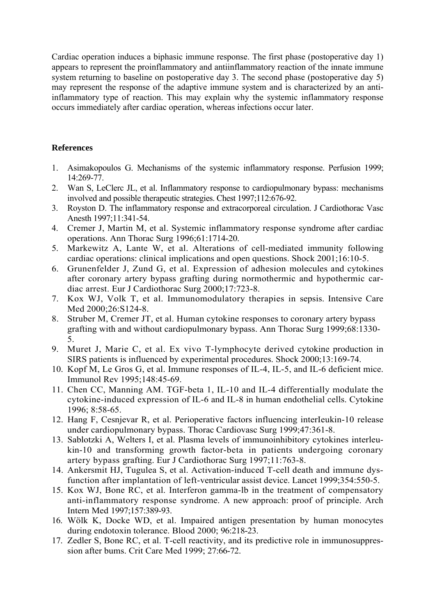Cardiac operation induces a biphasic immune response. The first phase (postoperative day 1) appears to represent the proinflammatory and antiinflammatory reaction of the innate immune system returning to baseline on postoperative day 3. The second phase (postoperative day 5) may represent the response of the adaptive immune system and is characterized by an antiinflammatory type of reaction. This may explain why the systemic inflammatory response occurs immediately after cardiac operation, whereas infections occur later.

# **References**

- 1. Asimakopoulos G. Mechanisms of the systemic inflammatory response. Perfusion 1999; 14:269-77.
- 2. Wan S, LeClerc JL, et al. Inflammatory response to cardiopulmonary bypass: mechanisms involved and possible therapeutic strategies. Chest 1997;112:676-92.
- 3. Royston D. The inflammatory response and extracorporeal circulation. J Cardiothorac Vasc Anesth 1997;11:341-54.
- 4. Cremer J, Martin M, et al. Systemic inflammatory response syndrome after cardiac operations. Ann Thorac Surg 1996;61:1714-20.
- 5. Markewitz A, Lante W, et al. Alterations of cell-mediated immunity following cardiac operations: clinical implications and open questions. Shock 2001;16:10-5.
- 6. Grunenfelder J, Zund G, et al. Expression of adhesion molecules and cytokines after coronary artery bypass grafting during normothermic and hypothermic car diac arrest. Eur J Cardiothorac Surg 2000;17:723-8.
- 7. Kox WJ, Volk T, et al. Immunomodulatory therapies in sepsis. Intensive Care Med 2000;26:S124-8.
- 8. Struber M, Cremer JT, et al. Human cytokine responses to coronary artery bypass grafting with and without cardiopulmonary bypass. Ann Thorac Surg 1999;68:1330- 5.
- 9. Muret J, Marie C, et al. Ex vivo T-lymphocyte derived cytokine production in SIRS patients is influenced by experimental procedures. Shock 2000;13:169-74.
- 10. Kopf M, Le Gros G, et al. Immune responses of IL-4, IL-5, and IL-6 deficient mice. Immunol Rev 1995;148:45-69.
- 11. Chen CC, Manning AM. TGF-beta 1, IL-10 and IL-4 differentially modulate the cytokine-induced expression of IL-6 and IL-8 in human endothelial cells. Cytokine 1996; 8:58-65.
- 12. Hang F, Cesnjevar R, et al. Perioperative factors influencing interIeukin-10 release under cardiopulmonary bypass. Thorac Cardiovasc Surg 1999;47:361-8.
- 13. Sablotzki A, Welters I, et al. Plasma levels of immunoinhibitory cytokines interleu kin-10 and transforming growth factor-beta in patients undergoing coronary artery bypass grafting. Eur J Cardiothorac Surg 1997;11:763-8.
- 14. Ankersmit HJ, Tugulea S, et al. Activation-induced T-cell death and immune dys function after implantation of left-ventricular assist device. Lancet 1999;354:550-5.
- 15. Kox WJ, Bone RC, et al. Interferon gamma-lb in the treatment of compensatory anti-inflammatory response syndrome. A new approach: proof of principle. Arch Intern Med 1997;157:389-93.
- 16. Wölk K, Docke WD, et al. Impaired antigen presentation by human monocytes during endotoxin tolerance. Blood 2000; 96:218-23.
- 17. Zedler S, Bone RC, et al. T-cell reactivity, and its predictive role in immunosuppres sion after bums. Crit Care Med 1999; 27:66-72.